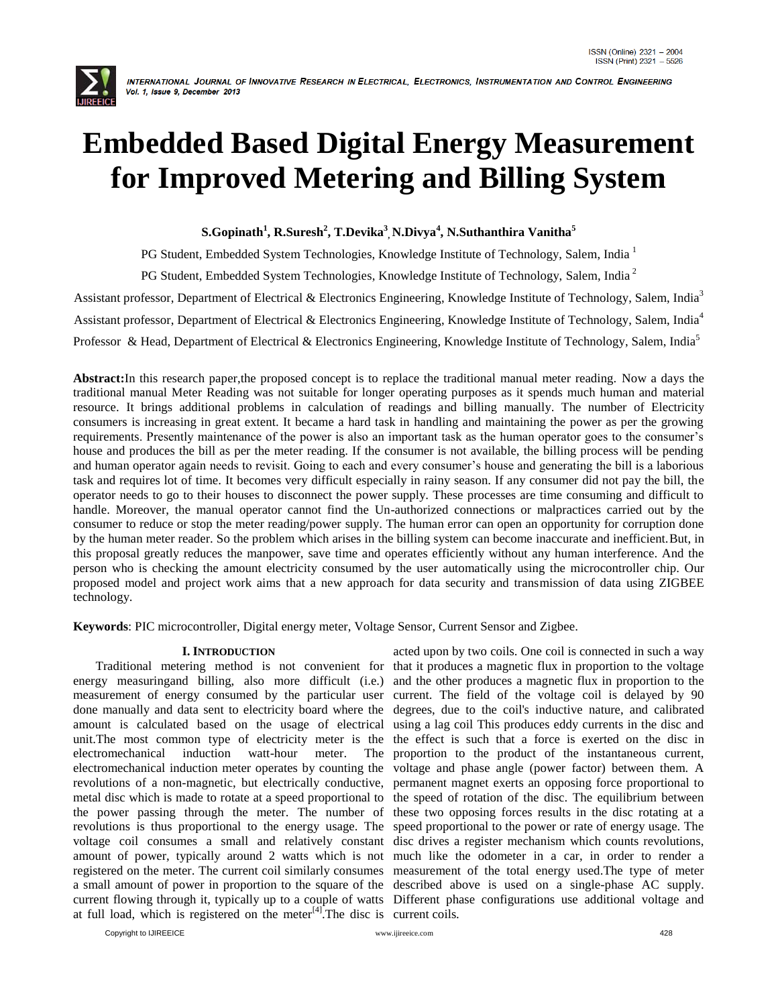

# **Embedded Based Digital Energy Measurement for Improved Metering and Billing System**

### **S.Gopinath<sup>1</sup> , R.Suresh<sup>2</sup> , T.Devika<sup>3</sup> , N.Divya<sup>4</sup> , N.Suthanthira Vanitha<sup>5</sup>**

PG Student, Embedded System Technologies, Knowledge Institute of Technology, Salem, India<sup>1</sup>

PG Student, Embedded System Technologies, Knowledge Institute of Technology, Salem, India<sup>2</sup>

Assistant professor, Department of Electrical & Electronics Engineering, Knowledge Institute of Technology, Salem, India<sup>3</sup>

Assistant professor, Department of Electrical & Electronics Engineering, Knowledge Institute of Technology, Salem, India<sup>4</sup>

Professor & Head, Department of Electrical & Electronics Engineering, Knowledge Institute of Technology, Salem, India<sup>5</sup>

**Abstract:**In this research paper,the proposed concept is to replace the traditional manual meter reading. Now a days the traditional manual Meter Reading was not suitable for longer operating purposes as it spends much human and material resource. It brings additional problems in calculation of readings and billing manually. The number of Electricity consumers is increasing in great extent. It became a hard task in handling and maintaining the power as per the growing requirements. Presently maintenance of the power is also an important task as the human operator goes to the consumer's house and produces the bill as per the meter reading. If the consumer is not available, the billing process will be pending and human operator again needs to revisit. Going to each and every consumer's house and generating the bill is a laborious task and requires lot of time. It becomes very difficult especially in rainy season. If any consumer did not pay the bill, the operator needs to go to their houses to disconnect the power supply. These processes are time consuming and difficult to handle. Moreover, the manual operator cannot find the Un-authorized connections or malpractices carried out by the consumer to reduce or stop the meter reading/power supply. The human error can open an opportunity for corruption done by the human meter reader. So the problem which arises in the billing system can become inaccurate and inefficient.But, in this proposal greatly reduces the manpower, save time and operates efficiently without any human interference. And the person who is checking the amount electricity consumed by the user automatically using the microcontroller chip. Our proposed model and project work aims that a new approach for data security and transmission of data using ZIGBEE technology.

**Keywords**: PIC microcontroller, Digital energy meter, Voltage Sensor, Current Sensor and Zigbee.

#### **I. INTRODUCTION**

 Traditional metering method is not convenient for that it produces a magnetic flux in proportion to the voltage energy measuringand billing, also more difficult (i.e.) and the other produces a magnetic flux in proportion to the measurement of energy consumed by the particular user current. The field of the voltage coil is delayed by 90 done manually and data sent to electricity board where the degrees, due to the coil's inductive nature, and calibrated amount is calculated based on the usage of electrical using a lag coil This produces eddy currents in the disc and unit.The most common type of electricity meter is the the effect is such that a [force](http://en.wikipedia.org/wiki/Force) is exerted on the disc in electromechanical induction watt-hour meter. electromechanical induction meter operates by counting the voltage and phase angle (power factor) between them. A revolutions of a non-magnetic, but electrically conductive, permanent magnet exerts an opposing force proportional to metal disc which is made to rotate at a speed proportional to the speed of rotation of the disc. The equilibrium between the power passing through the meter. The number of these two opposing forces results in the disc rotating at a revolutions is thus proportional to the energy usage. The speed proportional to the power or rate of energy usage. The voltage coil consumes a small and relatively constant disc drives a register mechanism which counts revolutions, amount of power, typically around 2 watts which is not much like the odometer in a car, in order to render a registered on the meter. The current coil similarly consumes measurement of the total energy used.The type of meter a small amount of power in proportion to the square of the described above is used on a single-phase AC supply. current flowing through it, typically up to a couple of watts Different phase configurations use additional voltage and at full load, which is registered on the meter<sup>[4]</sup>. The disc is current coils.

acted upon by two coils. One coil is connected in such a way The proportion to the product of the instantaneous current,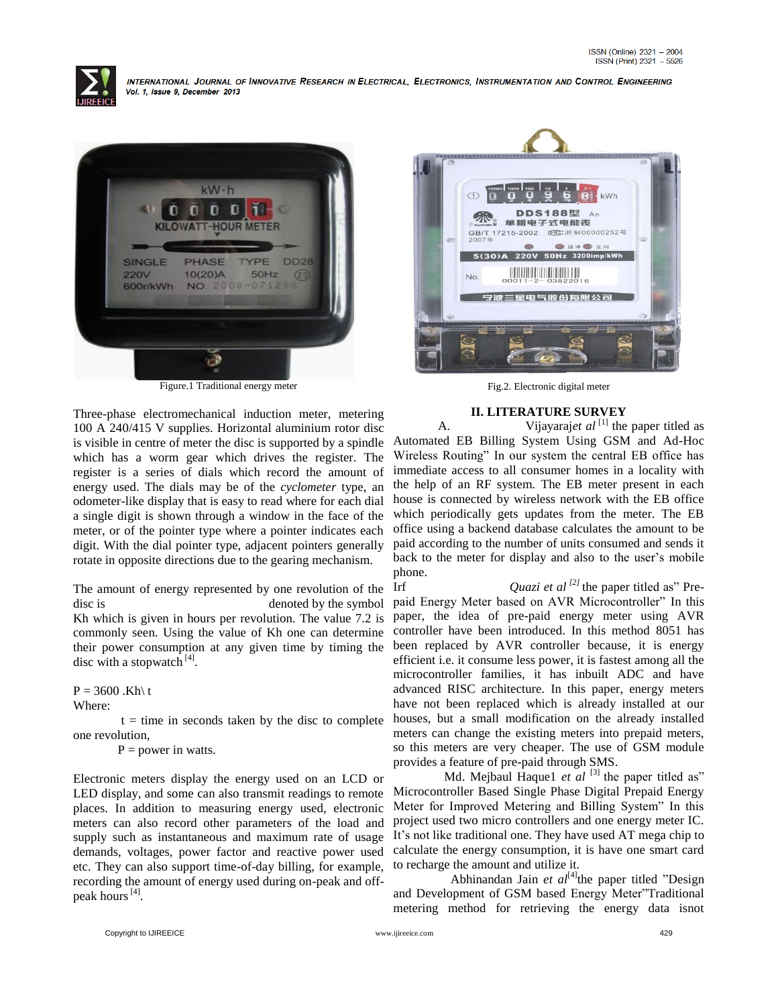



Figure.1 Traditional energy meter

Three-phase electromechanical induction meter, metering 100 A 240/415 V supplies. Horizontal aluminium rotor disc is visible in centre of meter the disc is supported by a spindle which has a worm gear which drives the register. The register is a series of dials which record the amount of energy used. The dials may be of the *cyclometer* type, an odometer-like display that is easy to read where for each dial a single digit is shown through a window in the face of the meter, or of the pointer type where a pointer indicates each digit. With the dial pointer type, adjacent pointers generally rotate in opposite directions due to the gearing mechanism.

The amount of energy represented by one revolution of the disc is denoted by the symbol Kh which is given in hours per revolution. The value 7.2 is commonly seen. Using the value of Kh one can determine their power consumption at any given time by timing the disc with a stopwatch<sup>[4]</sup>.

 $P = 3600$ .Kh\t

Where:

 $t =$  time in seconds taken by the disc to complete one revolution,

 $P = power in watts.$ 

Electronic meters display the energy used on an LCD or LED display, and some can also transmit readings to remote places. In addition to measuring energy used, electronic meters can also record other parameters of the load and supply such as instantaneous and maximum rate of usage demands, voltages, power factor and reactive power used etc. They can also support time-of-day billing, for example, recording the amount of energy used during on-peak and offpeak hours<sup>[4]</sup>.



Fig.2. Electronic digital meter

#### **II. LITERATURE SURVEY**

A. Vijayaraj*et al* <sup>[1]</sup> the paper titled as Automated EB Billing System Using GSM and Ad-Hoc Wireless Routing" In our system the central EB office has immediate access to all consumer homes in a locality with the help of an RF system. The EB meter present in each house is connected by wireless network with the EB office which periodically gets updates from the meter. The EB office using a backend database calculates the amount to be paid according to the number of units consumed and sends it back to the meter for display and also to the user's mobile phone.

Irf *Quazi et al [2]* the paper titled as" Prepaid Energy Meter based on AVR Microcontroller" In this paper, the idea of pre-paid energy meter using AVR controller have been introduced. In this method 8051 has been replaced by AVR controller because, it is energy efficient i.e. it consume less power, it is fastest among all the microcontroller families, it has inbuilt ADC and have advanced RISC architecture. In this paper, energy meters have not been replaced which is already installed at our houses, but a small modification on the already installed meters can change the existing meters into prepaid meters, so this meters are very cheaper. The use of GSM module provides a feature of pre-paid through SMS.

Md. Mejbaul Haque1 *et al* <sup>[3]</sup> the paper titled as" Microcontroller Based Single Phase Digital Prepaid Energy Meter for Improved Metering and Billing System" In this project used two micro controllers and one energy meter IC. It's not like traditional one. They have used AT mega chip to calculate the energy consumption, it is have one smart card to recharge the amount and utilize it.

Abhinandan Jain *et al*<sup>[4]</sup>the paper titled "Design and Development of GSM based Energy Meter"Traditional metering method for retrieving the energy data isnot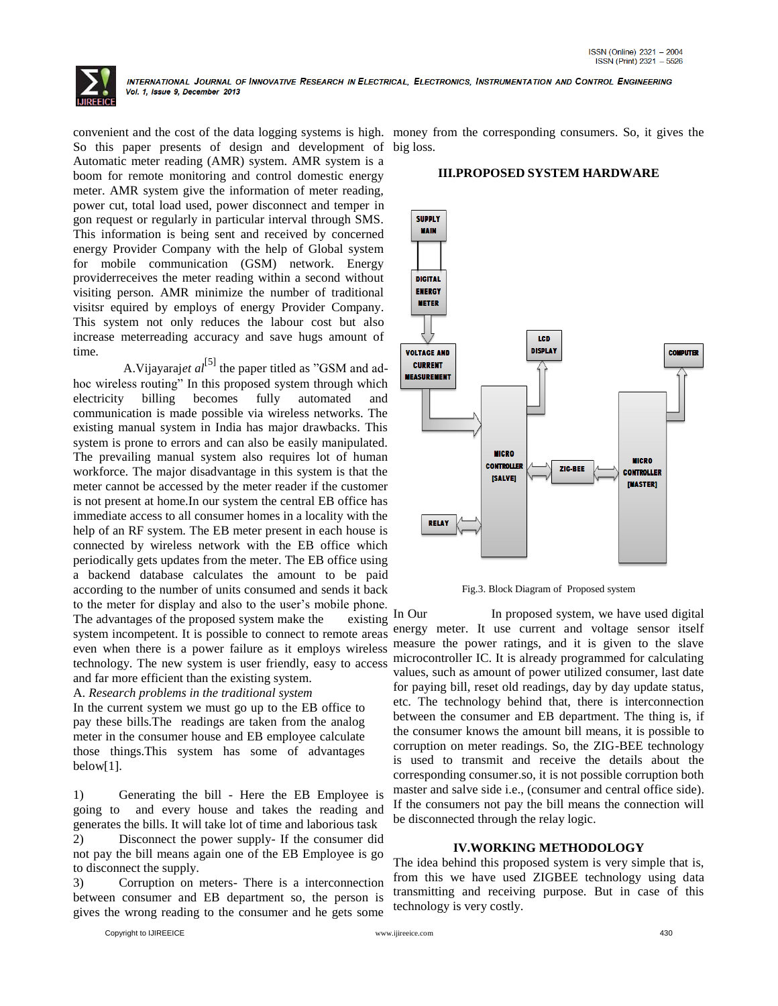

So this paper presents of design and development of big loss. Automatic meter reading (AMR) system. AMR system is a boom for remote monitoring and control domestic energy meter. AMR system give the information of meter reading, power cut, total load used, power disconnect and temper in gon request or regularly in particular interval through SMS. This information is being sent and received by concerned energy Provider Company with the help of Global system for mobile communication (GSM) network. Energy providerreceives the meter reading within a second without visiting person. AMR minimize the number of traditional visitsr equired by employs of energy Provider Company. This system not only reduces the labour cost but also increase meterreading accuracy and save hugs amount of time.

A. Vijayaraj*et al*<sup>[5]</sup> the paper titled as "GSM and adhoc wireless routing" In this proposed system through which electricity billing becomes fully automated and communication is made possible via wireless networks. The existing manual system in India has major drawbacks. This system is prone to errors and can also be easily manipulated. The prevailing manual system also requires lot of human workforce. The major disadvantage in this system is that the meter cannot be accessed by the meter reader if the customer is not present at home.In our system the central EB office has immediate access to all consumer homes in a locality with the help of an RF system. The EB meter present in each house is connected by wireless network with the EB office which periodically gets updates from the meter. The EB office using a backend database calculates the amount to be paid according to the number of units consumed and sends it back to the meter for display and also to the user's mobile phone.

The advantages of the proposed system make the existing system incompetent. It is possible to connect to remote areas even when there is a power failure as it employs wireless technology. The new system is user friendly, easy to access and far more efficient than the existing system.

A. *Research problems in the traditional system*

In the current system we must go up to the EB office to pay these bills.The readings are taken from the analog meter in the consumer house and EB employee calculate those things.This system has some of advantages below[1].

1) Generating the bill - Here the EB Employee is going to and every house and takes the reading and generates the bills. It will take lot of time and laborious task 2) Disconnect the power supply- If the consumer did

not pay the bill means again one of the EB Employee is go to disconnect the supply.

3) Corruption on meters- There is a interconnection between consumer and EB department so, the person is gives the wrong reading to the consumer and he gets some

convenient and the cost of the data logging systems is high. money from the corresponding consumers. So, it gives the

**III.PROPOSED SYSTEM HARDWARE**

## **SUPPLY MAIN**



Fig.3. Block Diagram of Proposed system

In Our In proposed system, we have used digital energy meter. It use current and voltage sensor itself measure the power ratings, and it is given to the slave microcontroller IC. It is already programmed for calculating values, such as amount of power utilized consumer, last date for paying bill, reset old readings, day by day update status, etc. The technology behind that, there is interconnection between the consumer and EB department. The thing is, if the consumer knows the amount bill means, it is possible to corruption on meter readings. So, the ZIG-BEE technology is used to transmit and receive the details about the corresponding consumer.so, it is not possible corruption both master and salve side i.e., (consumer and central office side). If the consumers not pay the bill means the connection will be disconnected through the relay logic.

#### **IV.WORKING METHODOLOGY**

The idea behind this proposed system is very simple that is, from this we have used ZIGBEE technology using data transmitting and receiving purpose. But in case of this technology is very costly.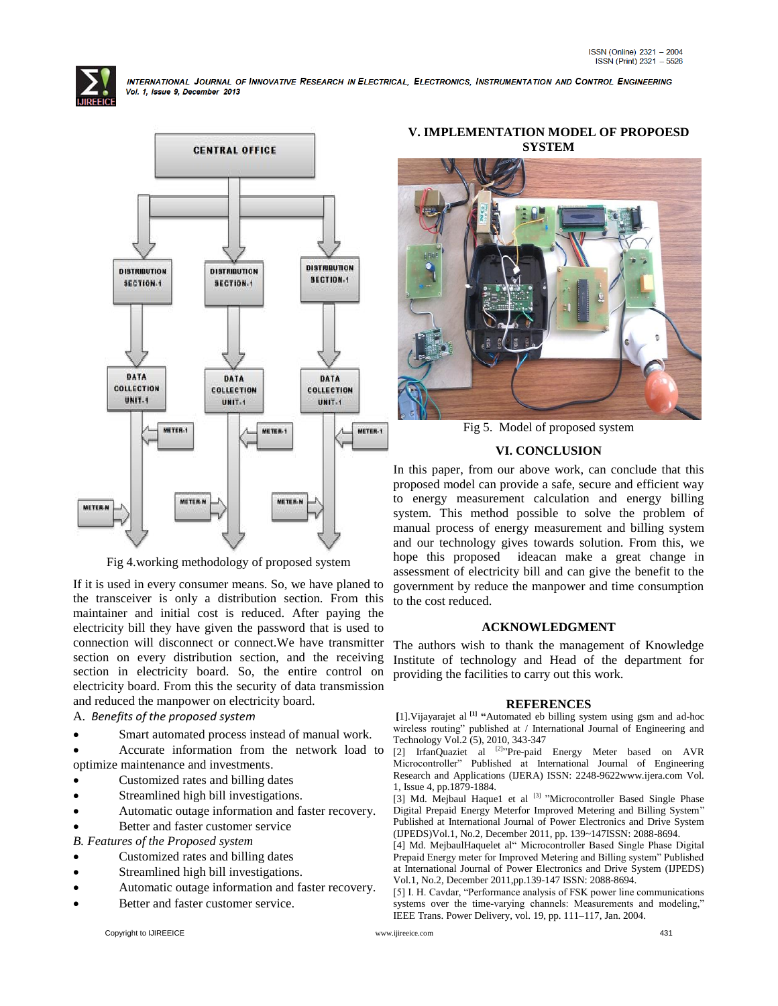



Fig 4.working methodology of proposed system

If it is used in every consumer means. So, we have planed to the transceiver is only a distribution section. From this maintainer and initial cost is reduced. After paying the electricity bill they have given the password that is used to connection will disconnect or connect.We have transmitter section on every distribution section, and the receiving section in electricity board. So, the entire control on electricity board. From this the security of data transmission and reduced the manpower on electricity board.

#### A. *Benefits of the proposed system*

Smart automated process instead of manual work.

 Accurate information from the network load to optimize maintenance and investments.

- Customized rates and billing dates
- Streamlined high bill investigations.
- Automatic outage information and faster recovery.
- Better and faster customer service

*B. Features of the Proposed system*

- Customized rates and billing dates
- Streamlined high bill investigations.
- Automatic outage information and faster recovery.
- Better and faster customer service.

#### **V. IMPLEMENTATION MODEL OF PROPOESD SYSTEM**



Fig 5. Model of proposed system

#### **VI. CONCLUSION**

In this paper, from our above work, can conclude that this proposed model can provide a safe, secure and efficient way to energy measurement calculation and energy billing system. This method possible to solve the problem of manual process of energy measurement and billing system and our technology gives towards solution. From this, we hope this proposed ideacan make a great change in assessment of electricity bill and can give the benefit to the government by reduce the manpower and time consumption to the cost reduced.

#### **ACKNOWLEDGMENT**

The authors wish to thank the management of Knowledge Institute of technology and Head of the department for providing the facilities to carry out this work.

#### **REFERENCES**

**[**1].Vijayarajet al **[1] "**Automated eb billing system using gsm and ad-hoc wireless routing" published at / International Journal of Engineering and Technology Vol.2 (5), 2010, 343-347

[2] IrfanQuaziet al <sup>[2]</sup>"Pre-paid Energy Meter based on AVR Microcontroller" Published at International Journal of Engineering Research and Applications (IJERA) ISSN: 2248-9622www.ijera.com Vol. 1, Issue 4, pp.1879-1884.

[3] Md. Mejbaul Haque1 et al  $[3]$  "Microcontroller Based Single Phase Digital Prepaid Energy Meterfor Improved Metering and Billing System" Published at International Journal of Power Electronics and Drive System (IJPEDS)Vol.1, No.2, December 2011, pp. 139~147ISSN: 2088-8694.

[4] Md. MejbaulHaquelet al" Microcontroller Based Single Phase Digital Prepaid Energy meter for Improved Metering and Billing system" Published at International Journal of Power Electronics and Drive System (IJPEDS) Vol.1, No.2, December 2011,pp.139-147 ISSN: 2088-8694.

[5] I. H. Cavdar, "Performance analysis of FSK power line communications systems over the time-varying channels: Measurements and modeling," IEEE Trans. Power Delivery, vol. 19, pp. 111–117, Jan. 2004.